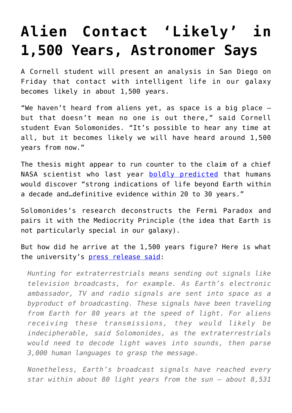## **[Alien Contact 'Likely' in](https://intellectualtakeout.org/2016/06/alien-contact-likely-in-1500-years-astronomer-says/) [1,500 Years, Astronomer Says](https://intellectualtakeout.org/2016/06/alien-contact-likely-in-1500-years-astronomer-says/)**

A Cornell student will present an analysis in San Diego on Friday that contact with intelligent life in our galaxy becomes likely in about 1,500 years.

"We haven't heard from aliens yet, as space is a big place – but that doesn't mean no one is out there," said Cornell student Evan Solomonides. "It's possible to hear any time at all, but it becomes likely we will have heard around 1,500 years from now."

The thesis might appear to run counter to the claim of a chief NASA scientist who last year [boldly predicted](https://www.intellectualtakeout.org/blog/outer-space-why-have-we-heard-nothing) that humans would discover "strong indications of life beyond Earth within a decade and…definitive evidence within 20 to 30 years."

Solomonides's research deconstructs the Fermi Paradox and pairs it with the Mediocrity Principle (the idea that Earth is not particularly special in our galaxy).

But how did he arrive at the 1,500 years figure? Here is what the university's [press release said:](http://mediarelations.cornell.edu/2016/06/14/possibility-of-alien-contact-could-be-1500-years-away/)

*Hunting for extraterrestrials means sending out signals like television broadcasts, for example. As Earth's electronic ambassador, TV and radio signals are sent into space as a byproduct of broadcasting. These signals have been traveling from Earth for 80 years at the speed of light. For aliens receiving these transmissions, they would likely be indecipherable, said Solomonides, as the extraterrestrials would need to decode light waves into sounds, then parse 3,000 human languages to grasp the message.*

*Nonetheless, Earth's broadcast signals have reached every star within about 80 light years from the sun – about 8,531*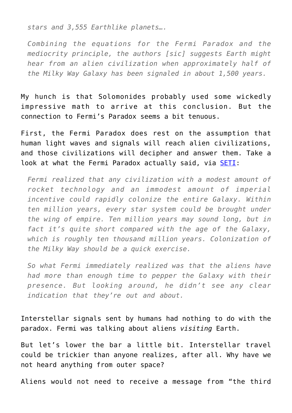*stars and 3,555 Earthlike planets….*

*Combining the equations for the Fermi Paradox and the mediocrity principle, the authors [sic] suggests Earth might hear from an alien civilization when approximately half of the Milky Way Galaxy has been signaled in about 1,500 years.*

My hunch is that Solomonides probably used some wickedly impressive math to arrive at this conclusion. But the connection to Fermi's Paradox seems a bit tenuous.

First, the Fermi Paradox does rest on the assumption that human light waves and signals will reach alien civilizations, and those civilizations will decipher and answer them. Take a look at what the Fermi Paradox actually said, via [SETI](http://www.seti.org/seti-institute/project/details/fermi-paradox):

*Fermi realized that any civilization with a modest amount of rocket technology and an immodest amount of imperial incentive could rapidly colonize the entire Galaxy. Within ten million years, every star system could be brought under the wing of empire. Ten million years may sound long, but in fact it's quite short compared with the age of the Galaxy, which is roughly ten thousand million years. Colonization of the Milky Way should be a quick exercise.*

*So what Fermi immediately realized was that the aliens have had more than enough time to pepper the Galaxy with their presence. But looking around, he didn't see any clear indication that they're out and about.*

Interstellar signals sent by humans had nothing to do with the paradox. Fermi was talking about aliens *visiting* Earth.

But let's lower the bar a little bit. Interstellar travel could be trickier than anyone realizes, after all. Why have we not heard anything from outer space?

Aliens would not need to receive a message from "the third